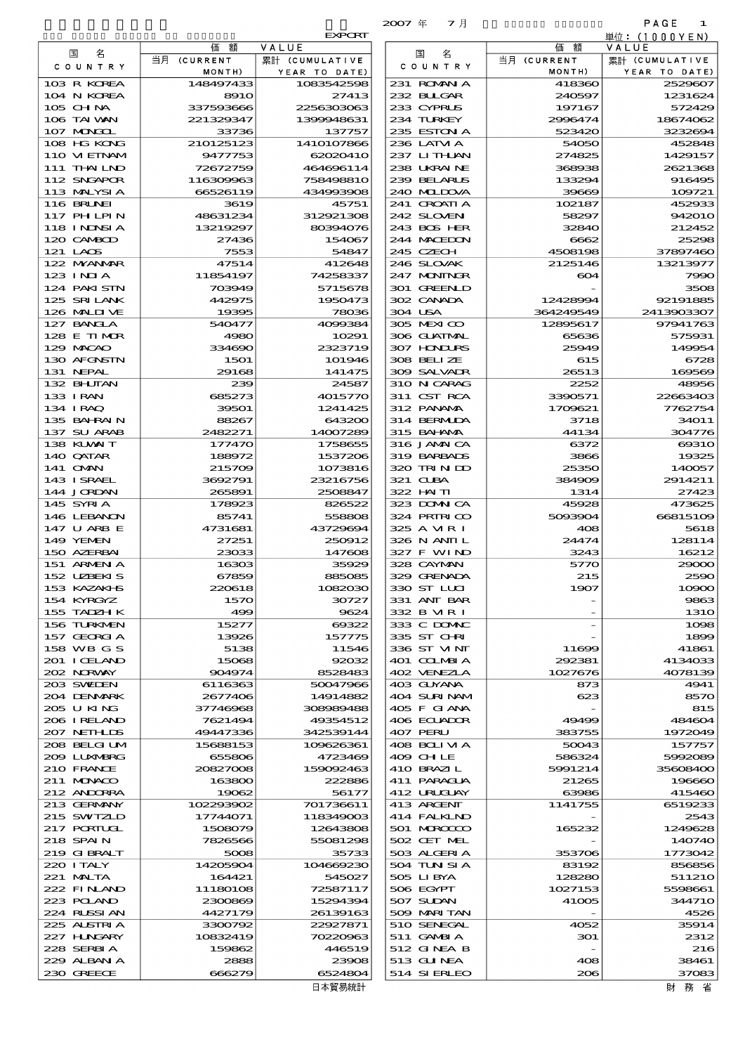|                              |                        |                          | マ月<br>$2007$ $#$           |                       | PAGE<br>1               |
|------------------------------|------------------------|--------------------------|----------------------------|-----------------------|-------------------------|
|                              |                        | <b>EXPORT</b>            |                            |                       | 単位: (1000YEN)           |
| 名<br>国                       | 価<br>額<br>当月 (CURRENT  | VALUE<br>累計 (CUMULATIVE  | 名<br>国                     | 価<br>額<br>当月 (CURRENT | VALUE<br>累計 (CUMULATIVE |
| C O U N T R Y                | MONTH)                 | YEAR TO DATE)            | C O U N T R Y              | MONTH)                | YEAR TO DATE)           |
| 103 R KOREA                  | 148497433              | 1083542598               | 231 ROMAN A                | 418360                | 2529607                 |
| 104 N KOREA                  | <b>8910</b>            | 27413                    | 232 BUGAR                  | 240597                | 1231624                 |
| 105 CHNA<br>106 TAI WAN      | 337593666<br>221329347 | 2256303063<br>1300048631 | 233 CYPRUS<br>234 TURKEY   | 197167<br>2996474     | 572429<br>18674062      |
| 107 MONGOL                   | 33736                  | 137757                   | 235 ESTON A                | 523420                | 3232694                 |
| 108 HG KONG                  | 210125123              | 1410107866               | 236 LATM A                 | 54050                 | 452848                  |
| 110 VIETNAM                  | 9477753                | 62020410                 | 237 LITHAN                 | 274825                | 1429157                 |
| 111 THAILND                  | 72672759               | 464696114                | 238 UKRAINE                | 368938                | 2621368                 |
| 112 SNGAPOR<br>113 MALYSIA   | 116309963<br>66526119  | 758498810<br>434993908   | 239 BELARUS<br>240 MIDOVA  | 133294<br>39669       | 916495<br>109721        |
| 116 BRUNEI                   | 3619                   | 45751                    | 241 CROATIA                | 102187                | 452933                  |
| 117 PHLPIN                   | 48631234               | 312921308                | 242 SLOVENI                | 58297                 | 942010                  |
| 118 I NDNSI A                | 13219297               | 80394076                 | 243 BOS HER                | 32840                 | 212452                  |
| 120 CAMBOD<br>121 LAOS       | 27436<br>7553          | 154067<br>54847          | 244 MACEDON<br>245 CZECH   | 6662<br>4508198       | 25298<br>37897460       |
| 122 MYANAR                   | 47514                  | 412648                   | 246 SLOVAK                 | 2125146               | 13213977                |
| $123$ INJA                   | 11854197               | 74258337                 | 247 MONINGR                | 604                   | 7990                    |
| 124 PAKI STN                 | 703949                 | 5715678                  | 301 GREENLD                |                       | 3508                    |
| 125 SRILANK<br>126 MALINE    | 442975                 | 1950473                  | 302 CANADA<br>304 USA      | 12428994<br>364249549 | 92191885<br>2413903307  |
| 127 BANCLA                   | 19395<br>540477        | 78036<br>4099384         | 305 MEXICO                 | 12895617              | 97941763                |
| 128 E TIMOR                  | 4980                   | 10291                    | 306 GUATMAL                | 65636                 | 575931                  |
| 129 MACAO                    | 334690                 | 2323719                  | 307 HNURS                  | 25949                 | 149954                  |
| 130 AFGNSTN                  | 1501                   | 101946                   | 308 BELIZE                 | 615                   | 6728                    |
| 131 NEPAL<br>132 BHUTAN      | 29168<br>239           | 141475<br>24587          | 309 SALVAIR<br>310 N CARAG | 26513<br>2252         | 169569<br>48956         |
| 133 IRAN                     | 685273                 | 4015770                  | 311 CST RCA                | 3390571               | 22663403                |
| 134 IRAQ                     | 39501                  | 1241425                  | 312 PANAMA                 | 1709621               | 7762754                 |
| 135 BAHRAIN                  | 88267                  | 643200                   | 314 BERMIDA                | 3718                  | 34011                   |
| 137 SU ARAB<br>138 KLVXIT    | 2482271<br>177470      | 14007289<br>1758655      | 315 BAHAMA<br>316 JAMAICA  | 44134                 | 304776<br>69310         |
| 140 QATAR                    | 188972                 | 1537206                  | 319 BARBADS                | 6372<br>3866          | 19325                   |
| 141 <b>OMN</b>               | 215709                 | 1073816                  | 320 TRINDO                 | 25350                 | 140057                  |
| 143 ISRAEL                   | 3692791                | 23216756                 | 321 CLBA                   | 384909                | 2914211                 |
| 144 JORDAN                   | 265891                 | 2508847                  | 322 HN TI                  | 1314                  | 27423                   |
| 145 SYRIA<br>146 LEBANON     | 178923<br>85741        | 826522<br>558808         | 323 DOMNICA<br>324 PRIRICO | 45928<br>5093904      | 473625<br>66815109      |
| 147 U ARB E                  | 4731681                | 43729694                 | 325 A VIR I                | 408                   | 5618                    |
| 149 YEMEN                    | 27251                  | 250912                   | 326 N ANII L               | 24474                 | 128114                  |
| 150 AZERBAI                  | 23033                  | 147608                   | 327 F WIND                 | 3243                  | 16212                   |
| 151 ARMEN A<br>152 UZBEKIS   | 16303<br>67859         | 35929<br>885085          | 328 CAYMAN<br>329 GRENADA  | 5770<br>215           | 29000<br>2590           |
| 153 KAZAKI B                 | 220618                 | 1082030                  | 330 ST LUI                 | 1907                  | 10900                   |
| 154 KYRGYZ                   | 1570                   | 30727                    | 331 ANT BAR                |                       | 9863                    |
| 155 TADZH K                  | 499                    | 9624                     | 332 B MR I                 |                       | <b>1310</b>             |
| 156 TURKMEN<br>157 GEORGIA   | 15277<br>13926         | 00322<br>157775          | 333 C DOMAC<br>335 ST CHRI |                       | 1098<br>1899            |
| 158 WB G S                   | 5138                   | 11546                    | 336 ST VINT                | 11699                 | 41861                   |
| 201 I CELAND                 | 15068                  | 92032                    | 401 COLMBIA                | 292381                | 4134033                 |
| 202 NRWAY                    | 904974                 | 8528483                  | 402 VENEZLA                | 1027676               | 4078139                 |
| 203 SWIEN<br>204 DENMARK     | 6116363<br>2677406     | 50047966<br>14914882     | 403 GUYANA<br>404 SURINAM  | 873<br>623            | 4941<br>8570            |
| 205 U KING                   | 37746968               | 308989488                | 405 F GIANA                |                       | 815                     |
| 206 I RELAND                 | 7621494                | 49354512                 | 406 ECUADOR                | 49499                 | 484604                  |
| 207 NETHLIS                  | 49447336               | 342539144                | 407 PERU                   | 383755                | 1972049                 |
| 208 BELGI UM<br>2009 LUNABRG | 15688153<br>655806     | 109626361<br>4723469     | 408 BOLI VI A<br>409 CH LE | 50043<br>586324       | 157757<br>5992089       |
| 210 FRANCE                   | 20827008               | 159092463                | 410 BRAZIL                 | 5991214               | 35608400                |
| 211 MUNACO                   | 163800                 | 222886                   | 411 PARAGUA                | 21265                 | 196660                  |
| 212 ANDORRA                  | 19062                  | 56177                    | 412 URUGUAY                | 63986                 | 415460                  |
| 213 GERMANY                  | 102293902              | 701736611                | 413 ARCENT                 | 1141755               | 6519233                 |
| 215 SWIZLD<br>217 PORTUGL    | 17744071<br>1508079    | 118349003<br>12643808    | 414 FALKLND<br>501 MROCCO  | 165232                | 2543<br>1249628         |
| 218 SPAIN                    | 7826566                | 55081298                 | 502 CET MEL                |                       | 140740                  |
| 219 GIBRALT                  | 5008                   | 35733                    | 503 ALGERIA                | 353706                | 1773042                 |
| 220 I TALY                   | 14205904               | 104669230                | 504 TUN SI A               | 83192                 | 856856                  |
| 221 MALTA<br>222 FINAND      | 164421<br>11180108     | 545027<br>72587117       | 505 LIBYA<br>506 EGYPT     | 128280<br>1027153     | 511210<br>5598661       |
| 223 POLAND                   | 2300869                | 15294394                 | 507 SUDAN                  | 41005                 | <b>344710</b>           |
| 224 RUSSI AN                 | 4427179                | 26139163                 | 509 MARI TAN               |                       | 4526                    |
| 225 ALSTRIA                  | 3300792                | 22927871                 | 510 SENEGAL                | 4052                  | 35914                   |
| 227 H.NGARY<br>228 SERBIA    | 10832419<br>159862     | 70220963<br>446519       | 511 GAMBIA<br>512 GINEA B  | 301                   | 2312<br>216             |
| 229 ALBAN A                  | 2888                   | 23908                    | 513 GUNEA                  | 408                   | 38461                   |
| 230 GREECE                   | 666279                 | 6524804                  | 514 SIERLEO                | 206                   | 37083                   |

| 名<br>国                          | 価額                     | VALUE                           |
|---------------------------------|------------------------|---------------------------------|
| COUNTRY                         | 当月 (CURRENT<br>MONTH)  | 累計 (CUMULATIVE<br>YEAR TO DATE) |
| 103 R KOREA                     | 148497433              | 1083542596                      |
| 104 N KOREA                     | 8910                   | 27413                           |
| 105 CHNA<br>106 TAI VAN         | 337593666<br>221329347 | 225630306<br>1399948631         |
| 107 MAGOL                       | 33736                  | 137757                          |
| 108 HG KONG                     | 210125123              | 1410107866                      |
| 110 VIEINAM                     | 9477753                | 62020410                        |
| 111 THAI LND<br>112 SNGAPOR     | 72672759<br>116309963  | 464696114<br>758498810          |
| 113 MALYSIA                     | 66526119               | 434993908                       |
| <b>116 BRUNEI</b>               | 3619                   | 45751                           |
| 117 PHLPIN                      | 48631234               | 312921308                       |
| 118 I NDNSI A<br>120 CAMBOD     | 13219297<br>27436      | 80394076<br>154067              |
| 121 LAOS                        | 7553                   | 54847                           |
| 122 MYANMAR                     | 47514                  | 412648                          |
| $123$ INIA<br>124 PAKI STN      | 11854197<br>703949     | 74258337<br>5715678             |
| 125 SRILANK                     | 442975                 | 1950473                         |
| 126 MALINE                      | 19395                  | 78036                           |
| 127 BANCLA<br>128 E TIMOR       | 540477<br>4980         | 4099384<br>10291                |
| 129 MACAO                       | 334690                 | 2323719                         |
| 130 AFGNSTN                     | <b>15O1</b>            | 101946                          |
| 131 NEPAL                       | 29168                  | 141475                          |
| 132 BHUTAN<br>133 I RAN         | 239<br>685273          | 2458.<br>4015770                |
| 134 IRAQ                        | 39501                  | 1241425                         |
| 135 BAHRAIN                     | 88267                  | 643200                          |
| 137 SU ARAB                     | 2482271                | 1400728                         |
| 138 KUWAIT<br>140 QATAR         | 177470<br>188972       | 1758655<br>1537200              |
| 141 OMN                         | 215709                 | 1073816                         |
| 143 ISRAEL                      | 3692791                | 23216756                        |
| 144 JORDAN<br>145 SYRIA         | 265891<br>178923       | 2508847<br>826522               |
| 146 LEBANON                     | 85741                  | 558806                          |
| 147 U ARB E                     | 4731681                | 43729694                        |
| <b>149 YEMEN</b><br>150 AZERBAI | 27251<br>23033         | 250912<br>147606                |
| 151 ARMEN A                     | 16303                  | 35929                           |
| 152 UBEKIS                      | 67859                  | 885085                          |
| 153 KAZAKI S                    | 220618                 | 1082030                         |
| 154 KYRGYZ<br>155 TADZH K       | 1570<br>499            | 3072.<br>962                    |
| 156 TURKMEN                     | 15277                  | 00322                           |
| 157 GEORGIA                     | 13926                  | 157775                          |
| 158 WB G S<br>201 I CELAND      | 5138<br>15068          | 11546<br>9203                   |
| 202 N.R.WAY                     | 904974                 | 852848                          |
| 203 SWIEN                       | 6116363                | 50047966                        |
| 204 DENMARK<br>205 U KING       | 2677406<br>37746968    | 14914882<br>30898948            |
| 206 I RELAND                    | 7621494                | 49354512                        |
| 207 NETHLIS                     | 49447336               | 34253914                        |
| 208 BELGI UM                    | 15688153               | 109626361                       |
| 209 LUNABRG<br>210 FRANCE       | 655806<br>20827008     | 4723469<br>159092463            |
| 211 MUNACO                      | 163800                 | 222886                          |
| 212 ANDORRA                     | 19062                  | 5617.                           |
| 213 GERMANY<br>215 SWIZLD       | 102293902<br>17744071  | 701736611<br>118349000          |
| <b>217 PORTUGL</b>              | 1508079                | 12643806                        |
| 218 SPAIN                       | 7826566                | 55081296                        |
| 219 GIBRALT                     | 5008                   | 35733                           |
| 220 I TALY<br>221 MALTA         | 14205904<br>164421     | 104669230<br>545027             |
| 222 FINAND                      | 11180108               | 72587117                        |
| 223 POLAND                      | 2300869                | 15294394                        |
| 224 RUSSI AN<br>225 ALSTRIA     | 4427179<br>3300792     | 26139163<br>22927871            |
| 227 HNGARY                      | 10832419               | 70220963                        |
| 228 SERBIA                      | 159862                 | 446519                          |
| 229 ALBAN A                     | 2888                   | 23906                           |
| 230 GREECE                      | 666279                 | 652480<br>日本貿易統計                |
|                                 |                        |                                 |

財務省